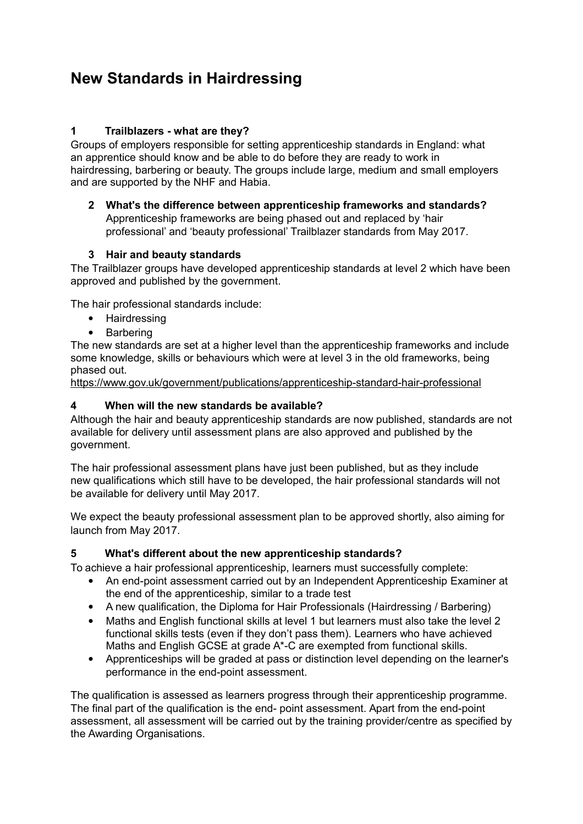#### **1 Trailblazers - what are they?**

Groups of employers responsible for setting apprenticeship standards in England: what an apprentice should know and be able to do before they are ready to work in hairdressing, barbering or beauty. The groups include large, medium and small employers and are supported by the NHF and Habia.

**2 What's the difference between apprenticeship frameworks and standards?**  Apprenticeship frameworks are being phased out and replaced by 'hair professional' and 'beauty professional' Trailblazer standards from May 2017.

#### **3 Hair and beauty standards**

The Trailblazer groups have developed apprenticeship standards at level 2 which have been approved and published by the government.

The hair professional standards include:

- Hairdressing
- Barbering

The new standards are set at a higher level than the apprenticeship frameworks and include some knowledge, skills or behaviours which were at level 3 in the old frameworks, being phased out.

https://www.gov.uk/government/publications/apprenticeship-standard-hair-professional

#### **4 When will the new standards be available?**

Although the hair and beauty apprenticeship standards are now published, standards are not available for delivery until assessment plans are also approved and published by the government.

The hair professional assessment plans have just been published, but as they include new qualifications which still have to be developed, the hair professional standards will not be available for delivery until May 2017.

We expect the beauty professional assessment plan to be approved shortly, also aiming for launch from May 2017.

#### **5 What's different about the new apprenticeship standards?**

To achieve a hair professional apprenticeship, learners must successfully complete:

- An end-point assessment carried out by an Independent Apprenticeship Examiner at the end of the apprenticeship, similar to a trade test
- A new qualification, the Diploma for Hair Professionals (Hairdressing / Barbering)
- Maths and English functional skills at level 1 but learners must also take the level 2 functional skills tests (even if they don't pass them). Learners who have achieved Maths and English GCSE at grade A\*-C are exempted from functional skills.
- Apprenticeships will be graded at pass or distinction level depending on the learner's performance in the end-point assessment.

The qualification is assessed as learners progress through their apprenticeship programme. The final part of the qualification is the end- point assessment. Apart from the end-point assessment, all assessment will be carried out by the training provider/centre as specified by the Awarding Organisations.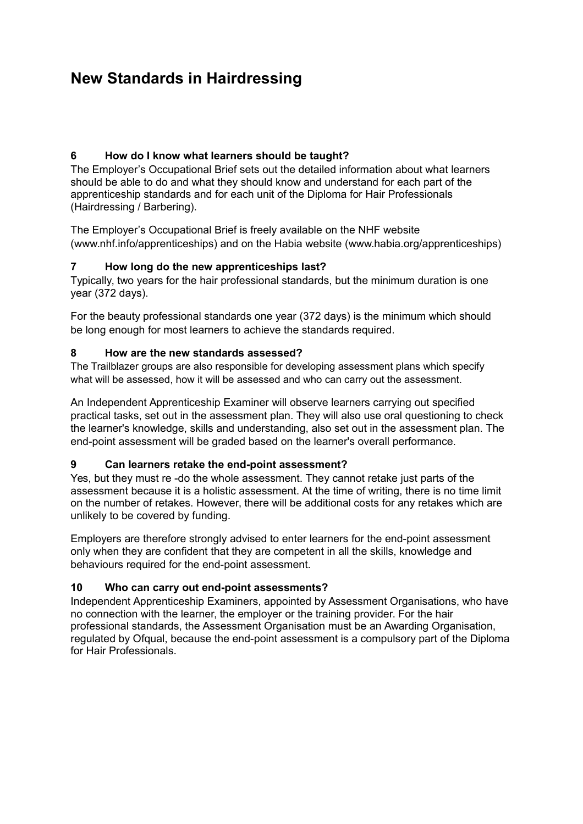#### **6 How do I know what learners should be taught?**

The Employer's Occupational Brief sets out the detailed information about what learners should be able to do and what they should know and understand for each part of the apprenticeship standards and for each unit of the Diploma for Hair Professionals (Hairdressing / Barbering).

The Employer's Occupational Brief is freely available on the NHF website (www.nhf.info/apprenticeships) and on the Habia website (www.habia.org/apprenticeships)

#### **7 How long do the new apprenticeships last?**

Typically, two years for the hair professional standards, but the minimum duration is one year (372 days).

For the beauty professional standards one year (372 days) is the minimum which should be long enough for most learners to achieve the standards required.

#### **8 How are the new standards assessed?**

The Trailblazer groups are also responsible for developing assessment plans which specify what will be assessed, how it will be assessed and who can carry out the assessment.

An Independent Apprenticeship Examiner will observe learners carrying out specified practical tasks, set out in the assessment plan. They will also use oral questioning to check the learner's knowledge, skills and understanding, also set out in the assessment plan. The end-point assessment will be graded based on the learner's overall performance.

#### **9 Can learners retake the end-point assessment?**

Yes, but they must re -do the whole assessment. They cannot retake just parts of the assessment because it is a holistic assessment. At the time of writing, there is no time limit on the number of retakes. However, there will be additional costs for any retakes which are unlikely to be covered by funding.

Employers are therefore strongly advised to enter learners for the end-point assessment only when they are confident that they are competent in all the skills, knowledge and behaviours required for the end-point assessment.

#### **10 Who can carry out end-point assessments?**

Independent Apprenticeship Examiners, appointed by Assessment Organisations, who have no connection with the learner, the employer or the training provider. For the hair professional standards, the Assessment Organisation must be an Awarding Organisation, regulated by Ofqual, because the end-point assessment is a compulsory part of the Diploma for Hair Professionals.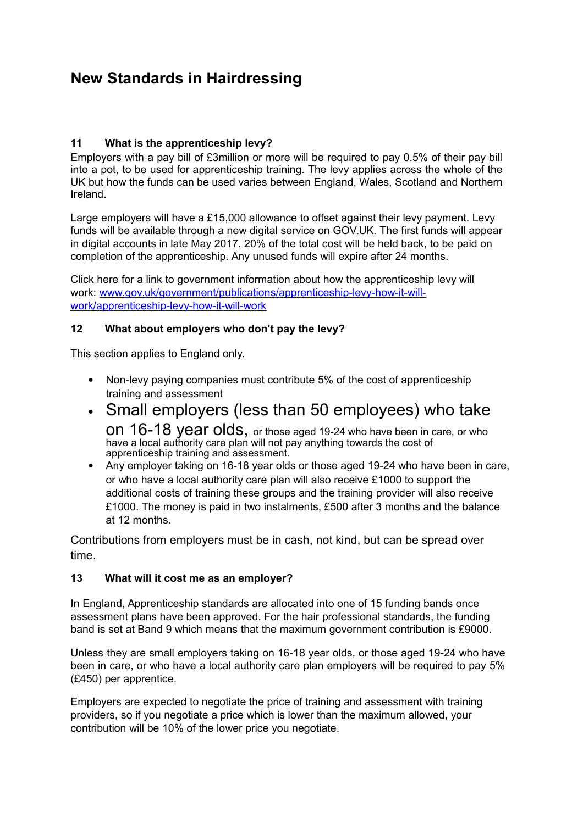#### **11 What is the apprenticeship levy?**

Employers with a pay bill of £3million or more will be required to pay 0.5% of their pay bill into a pot, to be used for apprenticeship training. The levy applies across the whole of the UK but how the funds can be used varies between England, Wales, Scotland and Northern Ireland.

Large employers will have a £15,000 allowance to offset against their levy payment. Levy funds will be available through a new digital service on GOV.UK. The first funds will appear in digital accounts in late May 2017. 20% of the total cost will be held back, to be paid on completion of the apprenticeship. Any unused funds will expire after 24 months.

Click here for a link to government information about how the apprenticeship levy will work: www.gov.uk/government/publications/apprenticeship-levy-how-it-willwork/apprenticeship-levy-how-it-will-work

#### **12 What about employers who don't pay the levy?**

This section applies to England only.

- Non-levy paying companies must contribute 5% of the cost of apprenticeship training and assessment
- Small employers (less than 50 employees) who take on 16-18 year olds, or those aged 19-24 who have been in care, or who have a local authority care plan will not pay anything towards the cost of apprenticeship training and assessment.
- Any employer taking on 16-18 year olds or those aged 19-24 who have been in care, or who have a local authority care plan will also receive £1000 to support the additional costs of training these groups and the training provider will also receive £1000. The money is paid in two instalments, £500 after 3 months and the balance at 12 months.

Contributions from employers must be in cash, not kind, but can be spread over time.

#### **13 What will it cost me as an employer?**

In England, Apprenticeship standards are allocated into one of 15 funding bands once assessment plans have been approved. For the hair professional standards, the funding band is set at Band 9 which means that the maximum government contribution is £9000.

Unless they are small employers taking on 16-18 year olds, or those aged 19-24 who have been in care, or who have a local authority care plan employers will be required to pay 5% (£450) per apprentice.

Employers are expected to negotiate the price of training and assessment with training providers, so if you negotiate a price which is lower than the maximum allowed, your contribution will be 10% of the lower price you negotiate.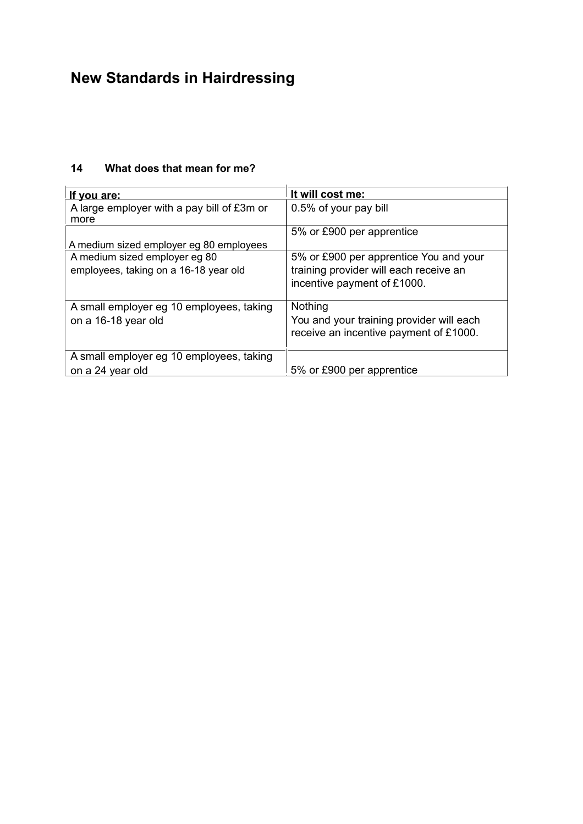| <u>If you are:</u>                                 | It will cost me:                         |
|----------------------------------------------------|------------------------------------------|
| A large employer with a pay bill of £3m or<br>more | 0.5% of your pay bill                    |
|                                                    | 5% or £900 per apprentice                |
| A medium sized employer eg 80 employees            |                                          |
| A medium sized employer eg 80                      | 5% or £900 per apprentice You and your   |
| employees, taking on a 16-18 year old              | training provider will each receive an   |
|                                                    | incentive payment of £1000.              |
|                                                    |                                          |
| A small employer eg 10 employees, taking           | Nothing                                  |
| on a 16-18 year old                                | You and your training provider will each |
|                                                    | receive an incentive payment of £1000.   |
|                                                    |                                          |
| A small employer eg 10 employees, taking           |                                          |
| on a 24 year old                                   | 5% or £900 per apprentice                |

### **14 What does that mean for me?**